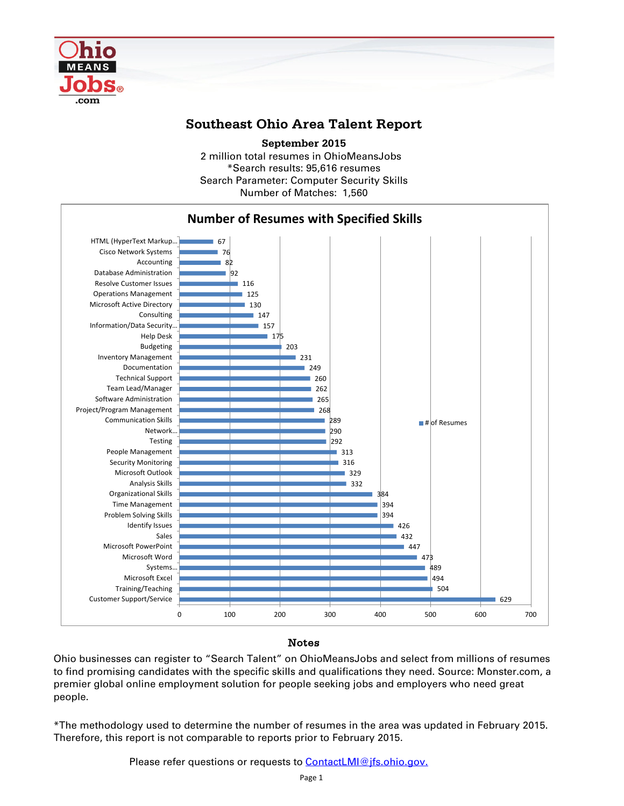

## **Southeast Ohio Area Talent Report**

2 million total resumes in OhioMeansJobs \*Search results: 95,616 resumes Number of Matches: 1,560 **September 2015** Search Parameter: Computer Security Skills



## Notes

Ohio businesses can register to "Search Talent" on OhioMeansJobs and select from millions of resumes to find promising candidates with the specific skills and qualifications they need. Source: Monster.com, a premier global online employment solution for people seeking jobs and employers who need great people.

\*The methodology used to determine the number of resumes in the area was updated in February 2015. Therefore, this report is not comparable to reports prior to February 2015.

Please refer questions or requests to **ContactLMI@jfs.ohio.gov.**